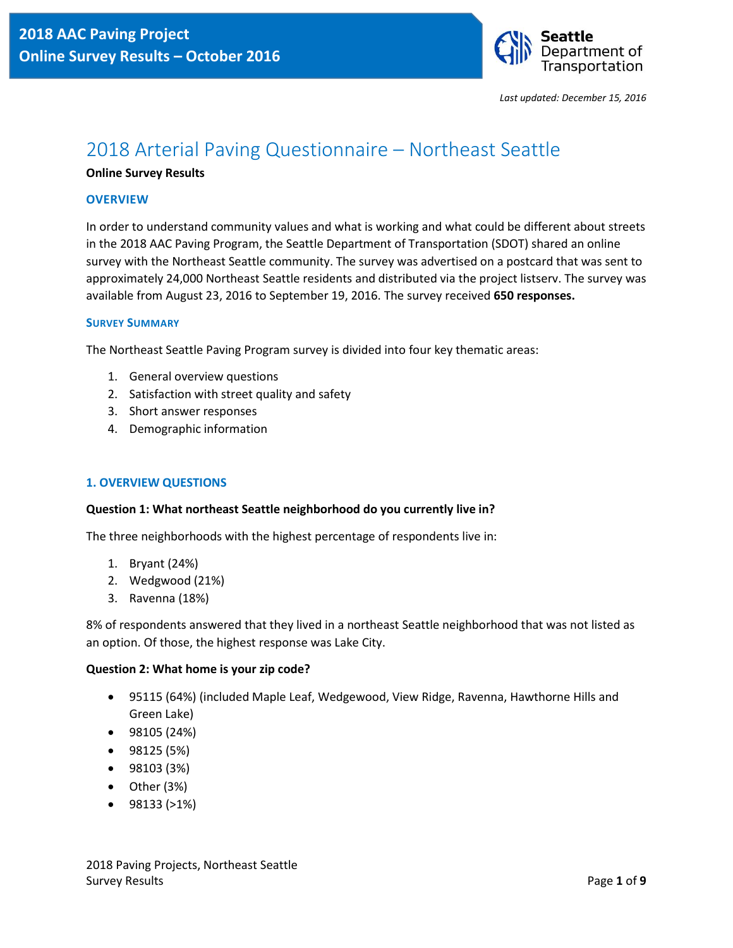

# 2018 Arterial Paving Questionnaire – Northeast Seattle

### **Online Survey Results**

### **OVERVIEW**

In order to understand community values and what is working and what could be different about streets in the 2018 AAC Paving Program, the Seattle Department of Transportation (SDOT) shared an online survey with the Northeast Seattle community. The survey was advertised on a postcard that was sent to approximately 24,000 Northeast Seattle residents and distributed via the project listserv. The survey was available from August 23, 2016 to September 19, 2016. The survey received **650 responses.** 

#### **SURVEY SUMMARY**

The Northeast Seattle Paving Program survey is divided into four key thematic areas:

- 1. General overview questions
- 2. Satisfaction with street quality and safety
- 3. Short answer responses
- 4. Demographic information

# **1. OVERVIEW QUESTIONS**

#### **Question 1: What northeast Seattle neighborhood do you currently live in?**

The three neighborhoods with the highest percentage of respondents live in:

- 1. Bryant (24%)
- 2. Wedgwood (21%)
- 3. Ravenna (18%)

8% of respondents answered that they lived in a northeast Seattle neighborhood that was not listed as an option. Of those, the highest response was Lake City.

#### **Question 2: What home is your zip code?**

- 95115 (64%) (included Maple Leaf, Wedgewood, View Ridge, Ravenna, Hawthorne Hills and Green Lake)
- 98105 (24%)
- 98125 (5%)
- 98103 (3%)
- Other (3%)
- $\bullet$  98133 ( $>1\%$ )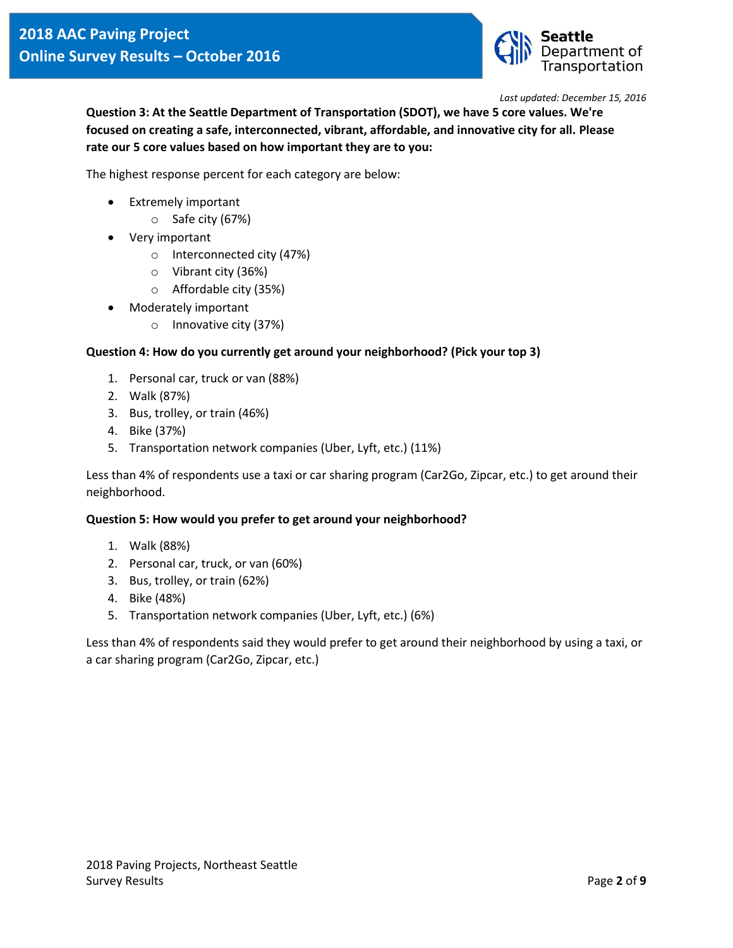

**Question 3: At the Seattle Department of Transportation (SDOT), we have 5 core values. We're focused on creating a safe, interconnected, vibrant, affordable, and innovative city for all. Please rate our 5 core values based on how important they are to you:**

The highest response percent for each category are below:

- Extremely important
	- o Safe city (67%)
- Very important
	- o Interconnected city (47%)
	- o Vibrant city (36%)
		- o Affordable city (35%)
- Moderately important
	- o Innovative city (37%)

# **Question 4: How do you currently get around your neighborhood? (Pick your top 3)**

- 1. Personal car, truck or van (88%)
- 2. Walk (87%)
- 3. Bus, trolley, or train (46%)
- 4. Bike (37%)
- 5. Transportation network companies (Uber, Lyft, etc.) (11%)

Less than 4% of respondents use a taxi or car sharing program (Car2Go, Zipcar, etc.) to get around their neighborhood.

### **Question 5: How would you prefer to get around your neighborhood?**

- 1. Walk (88%)
- 2. Personal car, truck, or van (60%)
- 3. Bus, trolley, or train (62%)
- 4. Bike (48%)
- 5. Transportation network companies (Uber, Lyft, etc.) (6%)

Less than 4% of respondents said they would prefer to get around their neighborhood by using a taxi, or a car sharing program (Car2Go, Zipcar, etc.)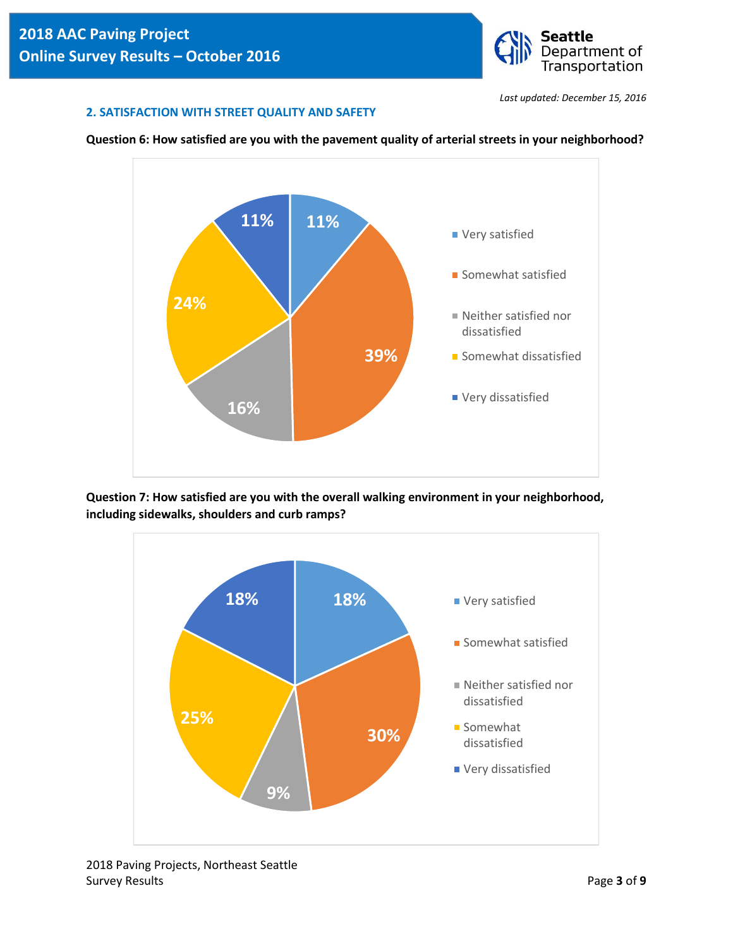

### **2. SATISFACTION WITH STREET QUALITY AND SAFETY**





**Question 7: How satisfied are you with the overall walking environment in your neighborhood, including sidewalks, shoulders and curb ramps?** 



2018 Paving Projects, Northeast Seattle Survey Results **Page 3** of **9**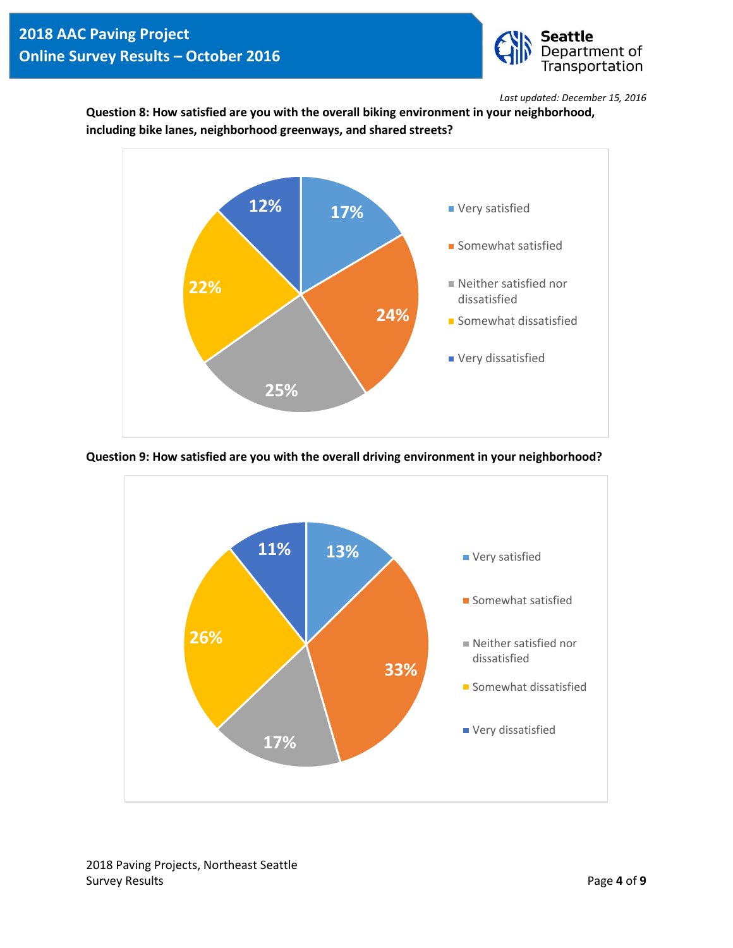

**Question 8: How satisfied are you with the overall biking environment in your neighborhood, including bike lanes, neighborhood greenways, and shared streets?**



**Question 9: How satisfied are you with the overall driving environment in your neighborhood?** 

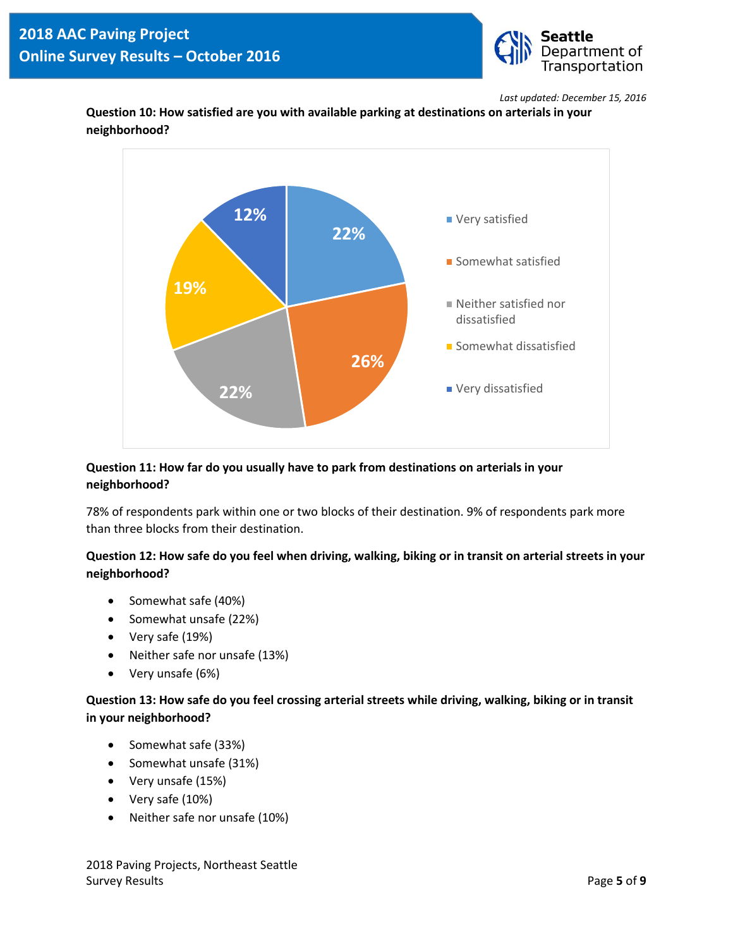

**Question 10: How satisfied are you with available parking at destinations on arterials in your neighborhood?** 



# **Question 11: How far do you usually have to park from destinations on arterials in your neighborhood?**

78% of respondents park within one or two blocks of their destination. 9% of respondents park more than three blocks from their destination.

# **Question 12: How safe do you feel when driving, walking, biking or in transit on arterial streets in your neighborhood?**

- Somewhat safe (40%)
- Somewhat unsafe (22%)
- Very safe (19%)
- Neither safe nor unsafe (13%)
- Very unsafe (6%)

# **Question 13: How safe do you feel crossing arterial streets while driving, walking, biking or in transit in your neighborhood?**

- Somewhat safe (33%)
- Somewhat unsafe (31%)
- Very unsafe (15%)
- Very safe (10%)
- Neither safe nor unsafe (10%)

2018 Paving Projects, Northeast Seattle Survey Results **Page 5** of **9**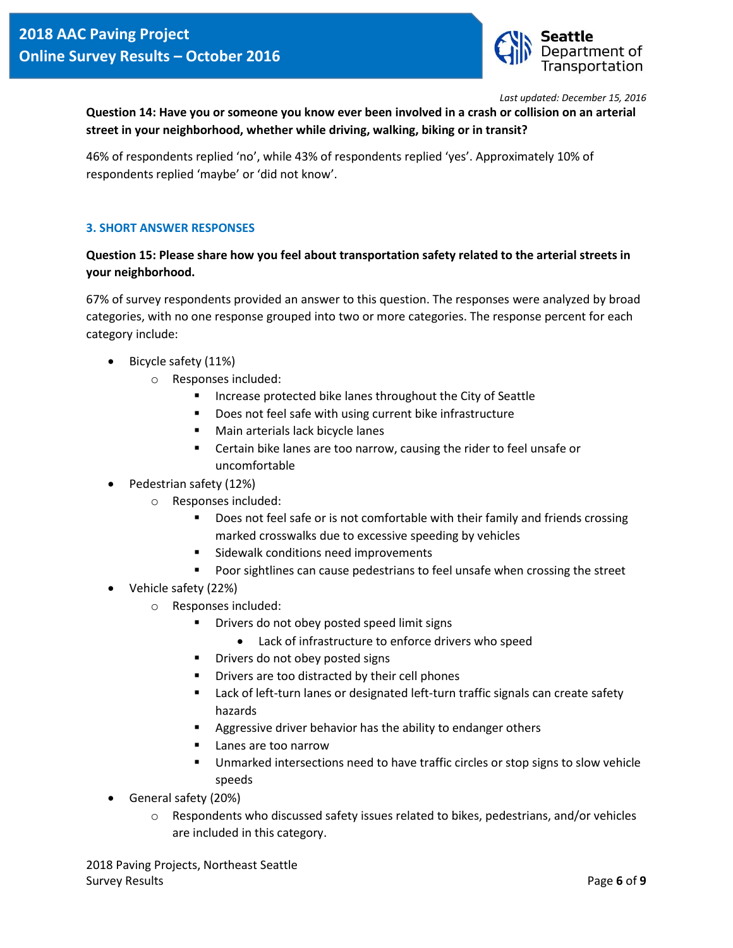

**Question 14: Have you or someone you know ever been involved in a crash or collision on an arterial street in your neighborhood, whether while driving, walking, biking or in transit?** 

46% of respondents replied 'no', while 43% of respondents replied 'yes'. Approximately 10% of respondents replied 'maybe' or 'did not know'.

### **3. SHORT ANSWER RESPONSES**

# **Question 15: Please share how you feel about transportation safety related to the arterial streets in your neighborhood.**

67% of survey respondents provided an answer to this question. The responses were analyzed by broad categories, with no one response grouped into two or more categories. The response percent for each category include:

- Bicycle safety (11%)
	- o Responses included:
		- **Increase protected bike lanes throughout the City of Seattle**
		- **Does not feel safe with using current bike infrastructure**
		- **Main arterials lack bicycle lanes**
		- Certain bike lanes are too narrow, causing the rider to feel unsafe or uncomfortable
- Pedestrian safety (12%)
	- o Responses included:
		- Does not feel safe or is not comfortable with their family and friends crossing marked crosswalks due to excessive speeding by vehicles
		- Sidewalk conditions need improvements
		- **Poor sightlines can cause pedestrians to feel unsafe when crossing the street**
- Vehicle safety (22%)
	- o Responses included:
		- Drivers do not obey posted speed limit signs
			- Lack of infrastructure to enforce drivers who speed
		- **•** Drivers do not obey posted signs
		- **•** Drivers are too distracted by their cell phones
		- **EXECT** Lack of left-turn lanes or designated left-turn traffic signals can create safety hazards
		- Aggressive driver behavior has the ability to endanger others
		- **Lanes are too narrow**
		- Unmarked intersections need to have traffic circles or stop signs to slow vehicle speeds
- General safety (20%)
	- $\circ$  Respondents who discussed safety issues related to bikes, pedestrians, and/or vehicles are included in this category.

2018 Paving Projects, Northeast Seattle Survey Results **Page 6** of **9**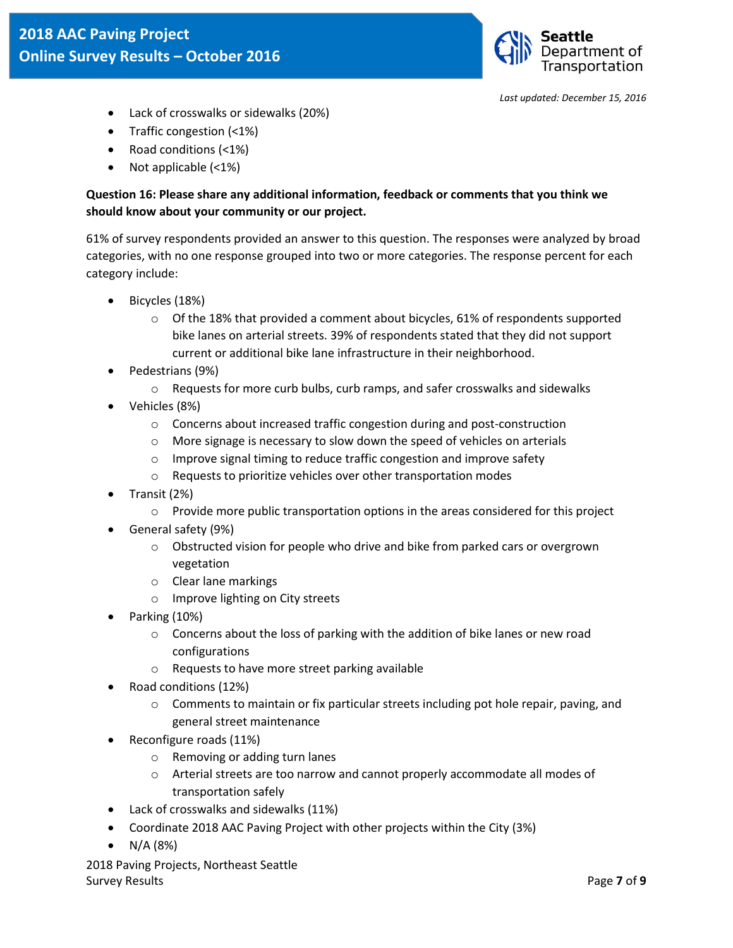

- Lack of crosswalks or sidewalks (20%)
- Traffic congestion (<1%)
- Road conditions (<1%)
- Not applicable (<1%)

# **Question 16: Please share any additional information, feedback or comments that you think we should know about your community or our project.**

61% of survey respondents provided an answer to this question. The responses were analyzed by broad categories, with no one response grouped into two or more categories. The response percent for each category include:

- Bicycles (18%)
	- $\circ$  Of the 18% that provided a comment about bicycles, 61% of respondents supported bike lanes on arterial streets. 39% of respondents stated that they did not support current or additional bike lane infrastructure in their neighborhood.
- Pedestrians (9%)
	- o Requests for more curb bulbs, curb ramps, and safer crosswalks and sidewalks
- Vehicles (8%)
	- o Concerns about increased traffic congestion during and post-construction
	- o More signage is necessary to slow down the speed of vehicles on arterials
	- o Improve signal timing to reduce traffic congestion and improve safety
	- o Requests to prioritize vehicles over other transportation modes
- Transit (2%)
	- $\circ$  Provide more public transportation options in the areas considered for this project
- General safety (9%)
	- o Obstructed vision for people who drive and bike from parked cars or overgrown vegetation
	- o Clear lane markings
	- o Improve lighting on City streets
- Parking (10%)
	- $\circ$  Concerns about the loss of parking with the addition of bike lanes or new road configurations
	- o Requests to have more street parking available
- Road conditions (12%)
	- $\circ$  Comments to maintain or fix particular streets including pot hole repair, paving, and general street maintenance
- Reconfigure roads (11%)
	- o Removing or adding turn lanes
	- o Arterial streets are too narrow and cannot properly accommodate all modes of transportation safely
- Lack of crosswalks and sidewalks (11%)
- Coordinate 2018 AAC Paving Project with other projects within the City (3%)
- $N/A (8%)$

2018 Paving Projects, Northeast Seattle Survey Results Page **7** of **9**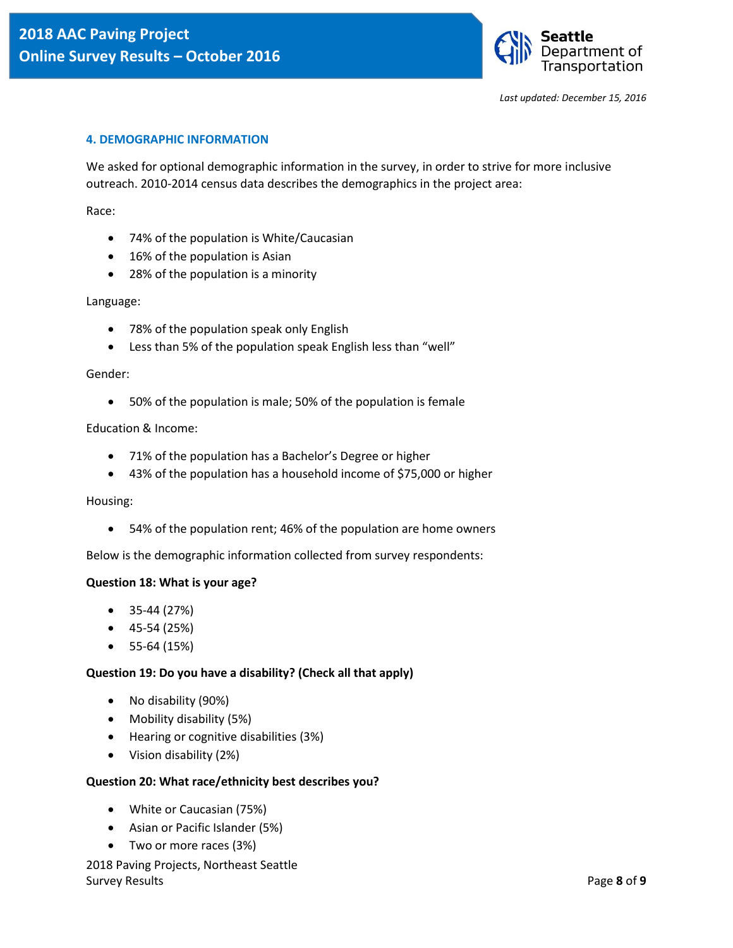

#### **4. DEMOGRAPHIC INFORMATION**

We asked for optional demographic information in the survey, in order to strive for more inclusive outreach. 2010-2014 census data describes the demographics in the project area:

Race:

- 74% of the population is White/Caucasian
- 16% of the population is Asian
- 28% of the population is a minority

Language:

- 78% of the population speak only English
- Less than 5% of the population speak English less than "well"

#### Gender:

50% of the population is male; 50% of the population is female

#### Education & Income:

- 71% of the population has a Bachelor's Degree or higher
- 43% of the population has a household income of \$75,000 or higher

#### Housing:

54% of the population rent; 46% of the population are home owners

Below is the demographic information collected from survey respondents:

#### **Question 18: What is your age?**

- $\bullet$  35-44 (27%)
- $\bullet$  45-54 (25%)
- $\bullet$  55-64 (15%)

#### **Question 19: Do you have a disability? (Check all that apply)**

- No disability (90%)
- Mobility disability (5%)
- Hearing or cognitive disabilities (3%)
- Vision disability (2%)

#### **Question 20: What race/ethnicity best describes you?**

- White or Caucasian (75%)
- Asian or Pacific Islander (5%)
- Two or more races (3%)
- 2018 Paving Projects, Northeast Seattle Survey Results **Page 8** of **9**